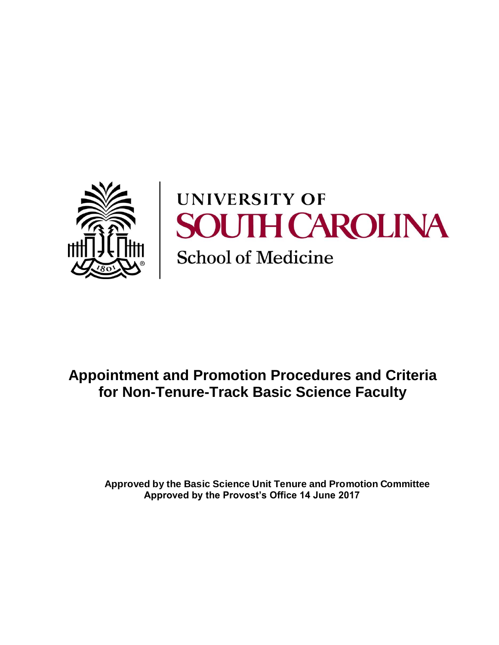

# **UNIVERSITY OF SOUTH CAROLINA School of Medicine**

# **Appointment and Promotion Procedures and Criteria for Non-Tenure-Track Basic Science Faculty**

**Approved by the Basic Science Unit Tenure and Promotion Committee Approved by the Provost's Office 14 June 2017**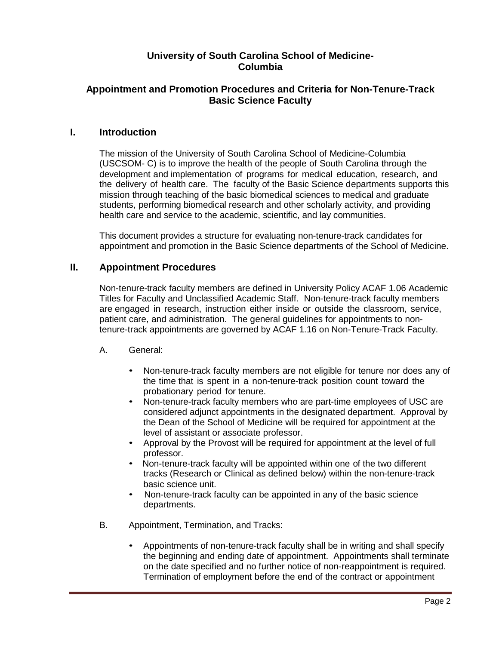# **University of South Carolina School of Medicine-Columbia**

# **Appointment and Promotion Procedures and Criteria for Non-Tenure-Track Basic Science Faculty**

#### **I. Introduction**

The mission of the University of South Carolina School of Medicine-Columbia (USCSOM- C) is to improve the health of the people of South Carolina through the development and implementation of programs for medical education, research, and the delivery of health care. The faculty of the Basic Science departments supports this mission through teaching of the basic biomedical sciences to medical and graduate students, performing biomedical research and other scholarly activity, and providing health care and service to the academic, scientific, and lay communities.

This document provides a structure for evaluating non-tenure-track candidates for appointment and promotion in the Basic Science departments of the School of Medicine.

# **II. Appointment Procedures**

Non-tenure-track faculty members are defined in University Policy ACAF 1.06 Academic Titles for Faculty and Unclassified Academic Staff. Non-tenure-track faculty members are engaged in research, instruction either inside or outside the classroom, service, patient care, and administration. The general guidelines for appointments to nontenure-track appointments are governed by ACAF 1.16 on Non-Tenure-Track Faculty.

#### A. General:

- Non-tenure-track faculty members are not eligible for tenure nor does any of the time that is spent in a non-tenure-track position count toward the probationary period for tenure.
- Non-tenure-track faculty members who are part-time employees of USC are considered adjunct appointments in the designated department. Approval by the Dean of the School of Medicine will be required for appointment at the level of assistant or associate professor.
- Approval by the Provost will be required for appointment at the level of full professor.
- Non-tenure-track faculty will be appointed within one of the two different tracks (Research or Clinical as defined below) within the non-tenure-track basic science unit.
- Non-tenure-track faculty can be appointed in any of the basic science departments.
- B. Appointment, Termination, and Tracks:
	- Appointments of non-tenure-track faculty shall be in writing and shall specify the beginning and ending date of appointment. Appointments shall terminate on the date specified and no further notice of non-reappointment is required. Termination of employment before the end of the contract or appointment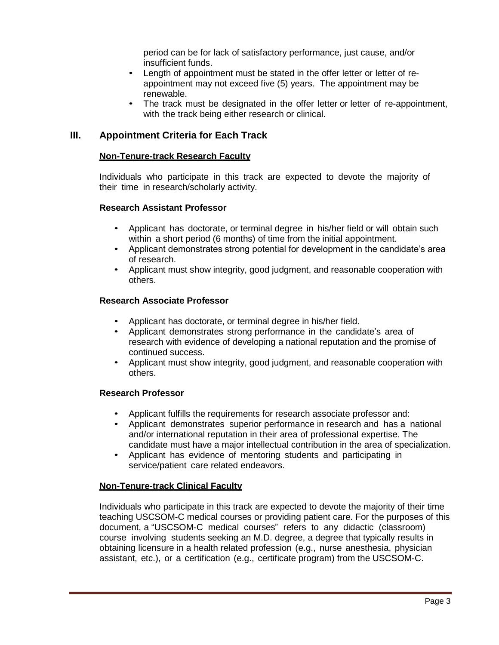period can be for lack of satisfactory performance, just cause, and/or insufficient funds.

- Length of appointment must be stated in the offer letter or letter of reappointment may not exceed five (5) years. The appointment may be renewable.
- The track must be designated in the offer letter or letter of re-appointment, with the track being either research or clinical.

# **III. Appointment Criteria for Each Track**

#### **Non-Tenure-track Research Faculty**

Individuals who participate in this track are expected to devote the majority of their time in research/scholarly activity.

#### **Research Assistant Professor**

- Applicant has doctorate, or terminal degree in his/her field or will obtain such within a short period (6 months) of time from the initial appointment.
- Applicant demonstrates strong potential for development in the candidate's area of research.
- Applicant must show integrity, good judgment, and reasonable cooperation with others.

#### **Research Associate Professor**

- Applicant has doctorate, or terminal degree in his/her field.
- Applicant demonstrates strong performance in the candidate's area of research with evidence of developing a national reputation and the promise of continued success.
- Applicant must show integrity, good judgment, and reasonable cooperation with others.

#### **Research Professor**

- Applicant fulfills the requirements for research associate professor and:
- Applicant demonstrates superior performance in research and has a national and/or international reputation in their area of professional expertise. The candidate must have a major intellectual contribution in the area of specialization.
- Applicant has evidence of mentoring students and participating in service/patient care related endeavors.

#### **Non-Tenure-track Clinical Faculty**

Individuals who participate in this track are expected to devote the majority of their time teaching USCSOM-C medical courses or providing patient care. For the purposes of this document, a "USCSOM-C medical courses" refers to any didactic (classroom) course involving students seeking an M.D. degree, a degree that typically results in obtaining licensure in a health related profession (e.g., nurse anesthesia, physician assistant, etc.), or a certification (e.g., certificate program) from the USCSOM-C.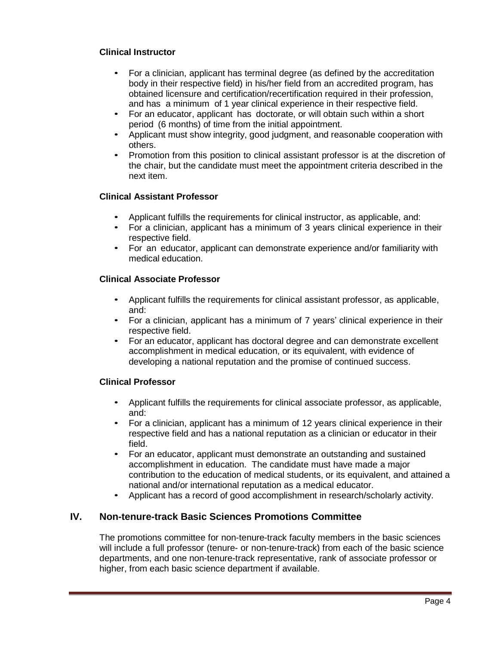# **Clinical Instructor**

- For a clinician, applicant has terminal degree (as defined by the accreditation body in their respective field) in his/her field from an accredited program, has obtained licensure and certification/recertification required in their profession, and has a minimum of 1 year clinical experience in their respective field.
- For an educator, applicant has doctorate, or will obtain such within a short period (6 months) of time from the initial appointment.
- Applicant must show integrity, good judgment, and reasonable cooperation with others.
- Promotion from this position to clinical assistant professor is at the discretion of the chair, but the candidate must meet the appointment criteria described in the next item.

# **Clinical Assistant Professor**

- Applicant fulfills the requirements for clinical instructor, as applicable, and:
- For a clinician, applicant has a minimum of 3 years clinical experience in their respective field.
- For an educator, applicant can demonstrate experience and/or familiarity with medical education.

#### **Clinical Associate Professor**

- Applicant fulfills the requirements for clinical assistant professor, as applicable, and:
- For a clinician, applicant has a minimum of 7 years' clinical experience in their respective field.
- For an educator, applicant has doctoral degree and can demonstrate excellent accomplishment in medical education, or its equivalent, with evidence of developing a national reputation and the promise of continued success.

#### **Clinical Professor**

- Applicant fulfills the requirements for clinical associate professor, as applicable, and:
- For a clinician, applicant has a minimum of 12 years clinical experience in their respective field and has a national reputation as a clinician or educator in their field.
- For an educator, applicant must demonstrate an outstanding and sustained accomplishment in education. The candidate must have made a major contribution to the education of medical students, or its equivalent, and attained a national and/or international reputation as a medical educator.
- Applicant has a record of good accomplishment in research/scholarly activity.

# **IV. Non-tenure-track Basic Sciences Promotions Committee**

The promotions committee for non-tenure-track faculty members in the basic sciences will include a full professor (tenure- or non-tenure-track) from each of the basic science departments, and one non-tenure-track representative, rank of associate professor or higher, from each basic science department if available.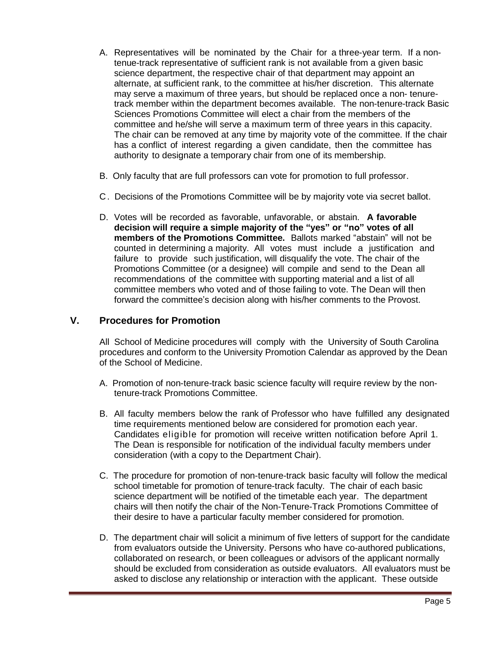- A. Representatives will be nominated by the Chair for a three-year term. If a nontenue-track representative of sufficient rank is not available from a given basic science department, the respective chair of that department may appoint an alternate, at sufficient rank, to the committee at his/her discretion. This alternate may serve a maximum of three years, but should be replaced once a non- tenuretrack member within the department becomes available. The non-tenure-track Basic Sciences Promotions Committee will elect a chair from the members of the committee and he/she will serve a maximum term of three years in this capacity. The chair can be removed at any time by majority vote of the committee. If the chair has a conflict of interest regarding a given candidate, then the committee has authority to designate a temporary chair from one of its membership.
- B. Only faculty that are full professors can vote for promotion to full professor.
- C. Decisions of the Promotions Committee will be by majority vote via secret ballot.
- D. Votes will be recorded as favorable, unfavorable, or abstain. **A favorable decision will require a simple majority of the "yes" or "no" votes of all members of the Promotions Committee.** Ballots marked "abstain" will not be counted in determining a majority. All votes must include a justification and failure to provide such justification, will disqualify the vote. The chair of the Promotions Committee (or a designee) will compile and send to the Dean all recommendations of the committee with supporting material and a list of all committee members who voted and of those failing to vote. The Dean will then forward the committee's decision along with his/her comments to the Provost.

# **V. Procedures for Promotion**

All School of Medicine procedures will comply with the University of South Carolina procedures and conform to the University Promotion Calendar as approved by the Dean of the School of Medicine.

- A. Promotion of non-tenure-track basic science faculty will require review by the nontenure-track Promotions Committee.
- B. All faculty members below the rank of Professor who have fulfilled any designated time requirements mentioned below are considered for promotion each year. Candidates eligible for promotion will receive written notification before April 1. The Dean is responsible for notification of the individual faculty members under consideration (with a copy to the Department Chair).
- C. The procedure for promotion of non-tenure-track basic faculty will follow the medical school timetable for promotion of tenure-track faculty. The chair of each basic science department will be notified of the timetable each year. The department chairs will then notify the chair of the Non-Tenure-Track Promotions Committee of their desire to have a particular faculty member considered for promotion.
- D. The department chair will solicit a minimum of five letters of support for the candidate from evaluators outside the University. Persons who have co-authored publications, collaborated on research, or been colleagues or advisors of the applicant normally should be excluded from consideration as outside evaluators. All evaluators must be asked to disclose any relationship or interaction with the applicant. These outside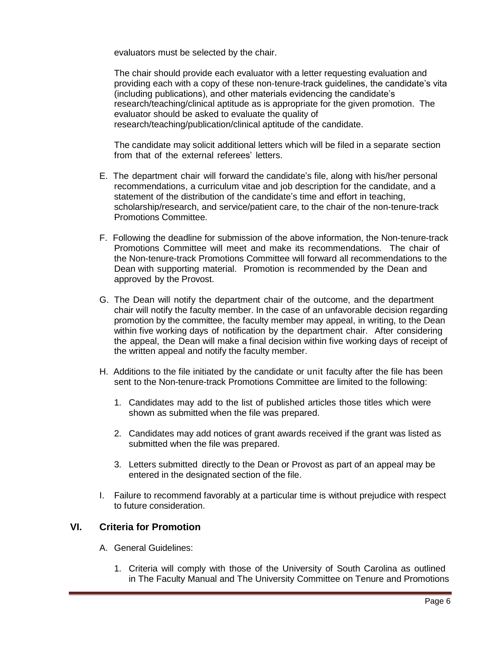evaluators must be selected by the chair.

The chair should provide each evaluator with a letter requesting evaluation and providing each with a copy of these non-tenure-track guidelines, the candidate's vita (including publications), and other materials evidencing the candidate's research/teaching/clinical aptitude as is appropriate for the given promotion. The evaluator should be asked to evaluate the quality of research/teaching/publication/clinical aptitude of the candidate.

The candidate may solicit additional letters which will be filed in a separate section from that of the external referees' letters.

- E. The department chair will forward the candidate's file, along with his/her personal recommendations, a curriculum vitae and job description for the candidate, and a statement of the distribution of the candidate's time and effort in teaching, scholarship/research, and service/patient care, to the chair of the non-tenure-track Promotions Committee.
- F. Following the deadline for submission of the above information, the Non-tenure-track Promotions Committee will meet and make its recommendations. The chair of the Non-tenure-track Promotions Committee will forward all recommendations to the Dean with supporting material. Promotion is recommended by the Dean and approved by the Provost.
- G. The Dean will notify the department chair of the outcome, and the department chair will notify the faculty member. In the case of an unfavorable decision regarding promotion by the committee, the faculty member may appeal, in writing, to the Dean within five working days of notification by the department chair. After considering the appeal, the Dean will make a final decision within five working days of receipt of the written appeal and notify the faculty member.
- H. Additions to the file initiated by the candidate or unit faculty after the file has been sent to the Non-tenure-track Promotions Committee are limited to the following:
	- 1. Candidates may add to the list of published articles those titles which were shown as submitted when the file was prepared.
	- 2. Candidates may add notices of grant awards received if the grant was listed as submitted when the file was prepared.
	- 3. Letters submitted directly to the Dean or Provost as part of an appeal may be entered in the designated section of the file.
- I. Failure to recommend favorably at a particular time is without prejudice with respect to future consideration.

# **VI. Criteria for Promotion**

- A. General Guidelines:
	- 1. Criteria will comply with those of the University of South Carolina as outlined in The Faculty Manual and The University Committee on Tenure and Promotions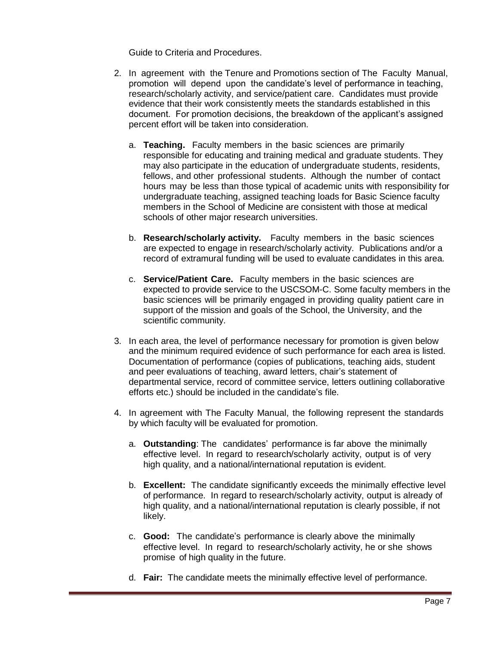Guide to Criteria and Procedures.

- 2. In agreement with the Tenure and Promotions section of The Faculty Manual, promotion will depend upon the candidate's level of performance in teaching, research/scholarly activity, and service/patient care. Candidates must provide evidence that their work consistently meets the standards established in this document. For promotion decisions, the breakdown of the applicant's assigned percent effort will be taken into consideration.
	- a. **Teaching.** Faculty members in the basic sciences are primarily responsible for educating and training medical and graduate students. They may also participate in the education of undergraduate students, residents, fellows, and other professional students. Although the number of contact hours may be less than those typical of academic units with responsibility for undergraduate teaching, assigned teaching loads for Basic Science faculty members in the School of Medicine are consistent with those at medical schools of other major research universities.
	- b. **Research/scholarly activity.** Faculty members in the basic sciences are expected to engage in research/scholarly activity. Publications and/or a record of extramural funding will be used to evaluate candidates in this area.
	- c. **Service/Patient Care.** Faculty members in the basic sciences are expected to provide service to the USCSOM-C. Some faculty members in the basic sciences will be primarily engaged in providing quality patient care in support of the mission and goals of the School, the University, and the scientific community.
- 3. In each area, the level of performance necessary for promotion is given below and the minimum required evidence of such performance for each area is listed. Documentation of performance (copies of publications, teaching aids, student and peer evaluations of teaching, award letters, chair's statement of departmental service, record of committee service, letters outlining collaborative efforts etc.) should be included in the candidate's file.
- 4. In agreement with The Faculty Manual, the following represent the standards by which faculty will be evaluated for promotion.
	- a. **Outstanding**: The candidates' performance is far above the minimally effective level. In regard to research/scholarly activity, output is of very high quality, and a national/international reputation is evident.
	- b. **Excellent:** The candidate significantly exceeds the minimally effective level of performance. In regard to research/scholarly activity, output is already of high quality, and a national/international reputation is clearly possible, if not likely.
	- c. **Good:** The candidate's performance is clearly above the minimally effective level. In regard to research/scholarly activity, he or she shows promise of high quality in the future.
	- d. **Fair:** The candidate meets the minimally effective level of performance.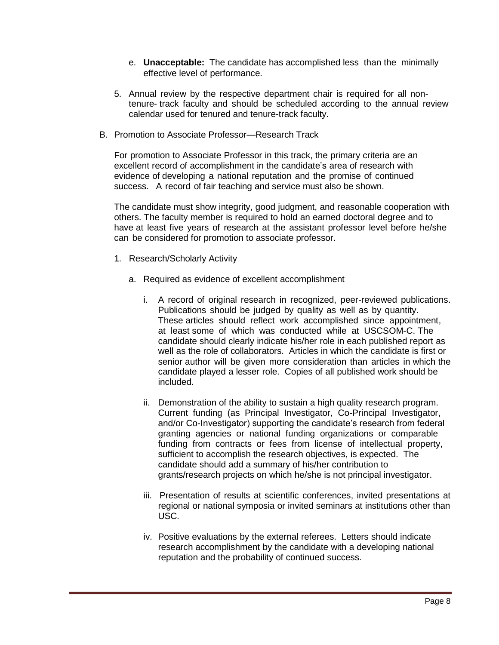- e. **Unacceptable:** The candidate has accomplished less than the minimally effective level of performance.
- 5. Annual review by the respective department chair is required for all nontenure- track faculty and should be scheduled according to the annual review calendar used for tenured and tenure-track faculty.
- B. Promotion to Associate Professor—Research Track

For promotion to Associate Professor in this track, the primary criteria are an excellent record of accomplishment in the candidate's area of research with evidence of developing a national reputation and the promise of continued success. A record of fair teaching and service must also be shown.

The candidate must show integrity, good judgment, and reasonable cooperation with others. The faculty member is required to hold an earned doctoral degree and to have at least five years of research at the assistant professor level before he/she can be considered for promotion to associate professor.

- 1. Research/Scholarly Activity
	- a. Required as evidence of excellent accomplishment
		- i. A record of original research in recognized, peer-reviewed publications. Publications should be judged by quality as well as by quantity. These articles should reflect work accomplished since appointment, at least some of which was conducted while at USCSOM-C. The candidate should clearly indicate his/her role in each published report as well as the role of collaborators. Articles in which the candidate is first or senior author will be given more consideration than articles in which the candidate played a lesser role. Copies of all published work should be included.
		- ii. Demonstration of the ability to sustain a high quality research program. Current funding (as Principal Investigator, Co-Principal Investigator, and/or Co-Investigator) supporting the candidate's research from federal granting agencies or national funding organizations or comparable funding from contracts or fees from license of intellectual property, sufficient to accomplish the research objectives, is expected. The candidate should add a summary of his/her contribution to grants/research projects on which he/she is not principal investigator.
		- iii. Presentation of results at scientific conferences, invited presentations at regional or national symposia or invited seminars at institutions other than USC.
		- iv. Positive evaluations by the external referees. Letters should indicate research accomplishment by the candidate with a developing national reputation and the probability of continued success.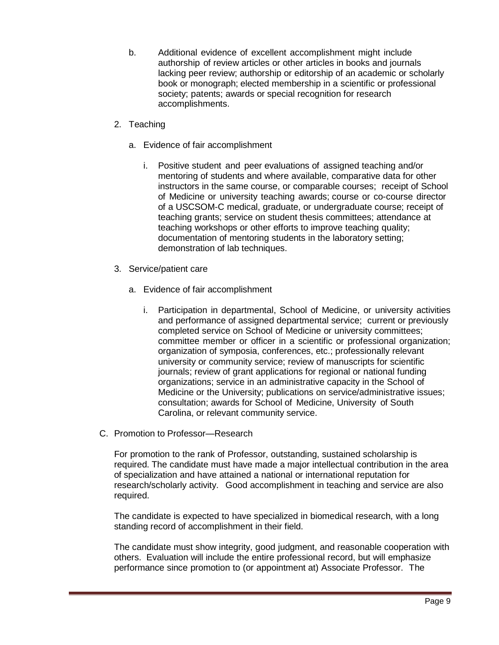- b. Additional evidence of excellent accomplishment might include authorship of review articles or other articles in books and journals lacking peer review; authorship or editorship of an academic or scholarly book or monograph; elected membership in a scientific or professional society; patents; awards or special recognition for research accomplishments.
- 2. Teaching
	- a. Evidence of fair accomplishment
		- i. Positive student and peer evaluations of assigned teaching and/or mentoring of students and where available, comparative data for other instructors in the same course, or comparable courses; receipt of School of Medicine or university teaching awards; course or co-course director of a USCSOM-C medical, graduate, or undergraduate course; receipt of teaching grants; service on student thesis committees; attendance at teaching workshops or other efforts to improve teaching quality; documentation of mentoring students in the laboratory setting; demonstration of lab techniques.
- 3. Service/patient care
	- a. Evidence of fair accomplishment
		- i. Participation in departmental, School of Medicine, or university activities and performance of assigned departmental service; current or previously completed service on School of Medicine or university committees; committee member or officer in a scientific or professional organization; organization of symposia, conferences, etc.; professionally relevant university or community service; review of manuscripts for scientific journals; review of grant applications for regional or national funding organizations; service in an administrative capacity in the School of Medicine or the University; publications on service/administrative issues; consultation; awards for School of Medicine, University of South Carolina, or relevant community service.
- C. Promotion to Professor—Research

For promotion to the rank of Professor, outstanding, sustained scholarship is required. The candidate must have made a major intellectual contribution in the area of specialization and have attained a national or international reputation for research/scholarly activity. Good accomplishment in teaching and service are also required.

The candidate is expected to have specialized in biomedical research, with a long standing record of accomplishment in their field.

The candidate must show integrity, good judgment, and reasonable cooperation with others. Evaluation will include the entire professional record, but will emphasize performance since promotion to (or appointment at) Associate Professor. The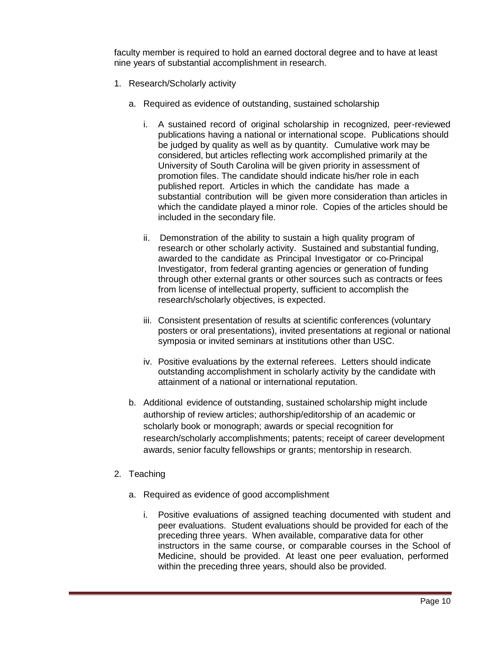faculty member is required to hold an earned doctoral degree and to have at least nine years of substantial accomplishment in research.

- 1. Research/Scholarly activity
	- a. Required as evidence of outstanding, sustained scholarship
		- i. A sustained record of original scholarship in recognized, peer-reviewed publications having a national or international scope. Publications should be judged by quality as well as by quantity. Cumulative work may be considered, but articles reflecting work accomplished primarily at the University of South Carolina will be given priority in assessment of promotion files. The candidate should indicate his/her role in each published report. Articles in which the candidate has made a substantial contribution will be given more consideration than articles in which the candidate played a minor role. Copies of the articles should be included in the secondary file.
		- ii. Demonstration of the ability to sustain a high quality program of research or other scholarly activity. Sustained and substantial funding, awarded to the candidate as Principal Investigator or co-Principal Investigator, from federal granting agencies or generation of funding through other external grants or other sources such as contracts or fees from license of intellectual property, sufficient to accomplish the research/scholarly objectives, is expected.
		- iii. Consistent presentation of results at scientific conferences (voluntary posters or oral presentations), invited presentations at regional or national symposia or invited seminars at institutions other than USC.
		- iv. Positive evaluations by the external referees. Letters should indicate outstanding accomplishment in scholarly activity by the candidate with attainment of a national or international reputation.
	- b. Additional evidence of outstanding, sustained scholarship might include authorship of review articles; authorship/editorship of an academic or scholarly book or monograph; awards or special recognition for research/scholarly accomplishments; patents; receipt of career development awards, senior faculty fellowships or grants; mentorship in research.
- 2. Teaching
	- a. Required as evidence of good accomplishment
		- i. Positive evaluations of assigned teaching documented with student and peer evaluations. Student evaluations should be provided for each of the preceding three years. When available, comparative data for other instructors in the same course, or comparable courses in the School of Medicine, should be provided. At least one peer evaluation, performed within the preceding three years, should also be provided.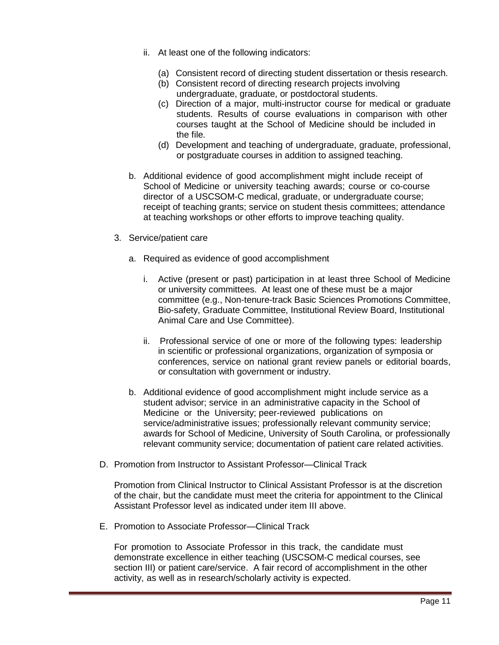- ii. At least one of the following indicators:
	- (a) Consistent record of directing student dissertation or thesis research.
	- (b) Consistent record of directing research projects involving undergraduate, graduate, or postdoctoral students.
	- (c) Direction of a major, multi-instructor course for medical or graduate students. Results of course evaluations in comparison with other courses taught at the School of Medicine should be included in the file.
	- (d) Development and teaching of undergraduate, graduate, professional, or postgraduate courses in addition to assigned teaching.
- b. Additional evidence of good accomplishment might include receipt of School of Medicine or university teaching awards; course or co-course director of a USCSOM-C medical, graduate, or undergraduate course; receipt of teaching grants; service on student thesis committees; attendance at teaching workshops or other efforts to improve teaching quality.
- 3. Service/patient care
	- a. Required as evidence of good accomplishment
		- i. Active (present or past) participation in at least three School of Medicine or university committees. At least one of these must be a major committee (e.g., Non-tenure-track Basic Sciences Promotions Committee, Bio-safety, Graduate Committee, Institutional Review Board, Institutional Animal Care and Use Committee).
		- ii. Professional service of one or more of the following types: leadership in scientific or professional organizations, organization of symposia or conferences, service on national grant review panels or editorial boards, or consultation with government or industry.
	- b. Additional evidence of good accomplishment might include service as a student advisor; service in an administrative capacity in the School of Medicine or the University; peer-reviewed publications on service/administrative issues; professionally relevant community service; awards for School of Medicine, University of South Carolina, or professionally relevant community service; documentation of patient care related activities.
- D. Promotion from Instructor to Assistant Professor—Clinical Track

Promotion from Clinical Instructor to Clinical Assistant Professor is at the discretion of the chair, but the candidate must meet the criteria for appointment to the Clinical Assistant Professor level as indicated under item III above.

E. Promotion to Associate Professor—Clinical Track

For promotion to Associate Professor in this track, the candidate must demonstrate excellence in either teaching (USCSOM-C medical courses, see section III) or patient care/service. A fair record of accomplishment in the other activity, as well as in research/scholarly activity is expected.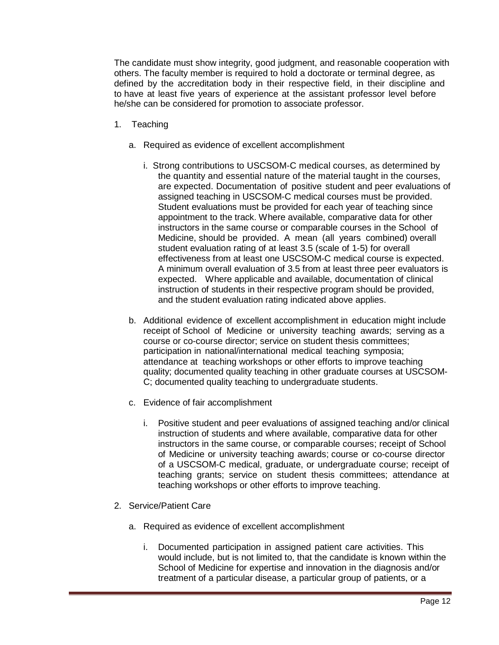The candidate must show integrity, good judgment, and reasonable cooperation with others. The faculty member is required to hold a doctorate or terminal degree, as defined by the accreditation body in their respective field, in their discipline and to have at least five years of experience at the assistant professor level before he/she can be considered for promotion to associate professor.

- 1. Teaching
	- a. Required as evidence of excellent accomplishment
		- i. Strong contributions to USCSOM-C medical courses, as determined by the quantity and essential nature of the material taught in the courses, are expected. Documentation of positive student and peer evaluations of assigned teaching in USCSOM-C medical courses must be provided. Student evaluations must be provided for each year of teaching since appointment to the track. Where available, comparative data for other instructors in the same course or comparable courses in the School of Medicine, should be provided. A mean (all years combined) overall student evaluation rating of at least 3.5 (scale of 1-5) for overall effectiveness from at least one USCSOM-C medical course is expected. A minimum overall evaluation of 3.5 from at least three peer evaluators is expected. Where applicable and available, documentation of clinical instruction of students in their respective program should be provided, and the student evaluation rating indicated above applies.
	- b. Additional evidence of excellent accomplishment in education might include receipt of School of Medicine or university teaching awards; serving as a course or co-course director; service on student thesis committees; participation in national/international medical teaching symposia; attendance at teaching workshops or other efforts to improve teaching quality; documented quality teaching in other graduate courses at USCSOM-C; documented quality teaching to undergraduate students.
	- c. Evidence of fair accomplishment
		- i. Positive student and peer evaluations of assigned teaching and/or clinical instruction of students and where available, comparative data for other instructors in the same course, or comparable courses; receipt of School of Medicine or university teaching awards; course or co-course director of a USCSOM-C medical, graduate, or undergraduate course; receipt of teaching grants; service on student thesis committees; attendance at teaching workshops or other efforts to improve teaching.
- 2. Service/Patient Care
	- a. Required as evidence of excellent accomplishment
		- i. Documented participation in assigned patient care activities. This would include, but is not limited to, that the candidate is known within the School of Medicine for expertise and innovation in the diagnosis and/or treatment of a particular disease, a particular group of patients, or a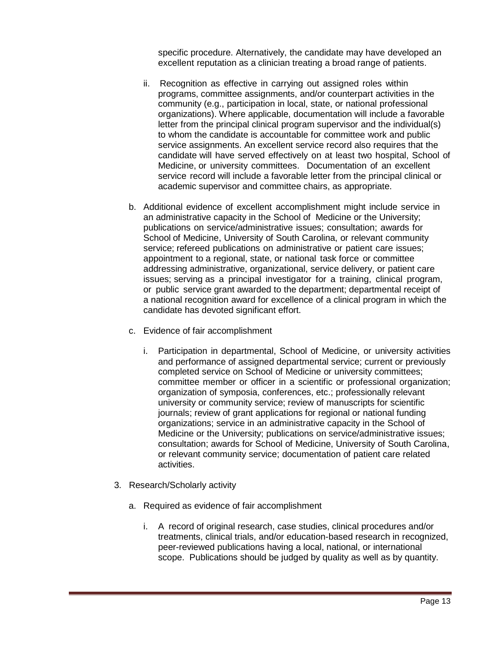specific procedure. Alternatively, the candidate may have developed an excellent reputation as a clinician treating a broad range of patients.

- ii. Recognition as effective in carrying out assigned roles within programs, committee assignments, and/or counterpart activities in the community (e.g., participation in local, state, or national professional organizations). Where applicable, documentation will include a favorable letter from the principal clinical program supervisor and the individual(s) to whom the candidate is accountable for committee work and public service assignments. An excellent service record also requires that the candidate will have served effectively on at least two hospital, School of Medicine, or university committees. Documentation of an excellent service record will include a favorable letter from the principal clinical or academic supervisor and committee chairs, as appropriate.
- b. Additional evidence of excellent accomplishment might include service in an administrative capacity in the School of Medicine or the University; publications on service/administrative issues; consultation; awards for School of Medicine, University of South Carolina, or relevant community service; refereed publications on administrative or patient care issues; appointment to a regional, state, or national task force or committee addressing administrative, organizational, service delivery, or patient care issues; serving as a principal investigator for a training, clinical program, or public service grant awarded to the department; departmental receipt of a national recognition award for excellence of a clinical program in which the candidate has devoted significant effort.
- c. Evidence of fair accomplishment
	- i. Participation in departmental, School of Medicine, or university activities and performance of assigned departmental service; current or previously completed service on School of Medicine or university committees; committee member or officer in a scientific or professional organization; organization of symposia, conferences, etc.; professionally relevant university or community service; review of manuscripts for scientific journals; review of grant applications for regional or national funding organizations; service in an administrative capacity in the School of Medicine or the University; publications on service/administrative issues; consultation; awards for School of Medicine, University of South Carolina, or relevant community service; documentation of patient care related activities.
- 3. Research/Scholarly activity
	- a. Required as evidence of fair accomplishment
		- i. A record of original research, case studies, clinical procedures and/or treatments, clinical trials, and/or education-based research in recognized, peer-reviewed publications having a local, national, or international scope. Publications should be judged by quality as well as by quantity.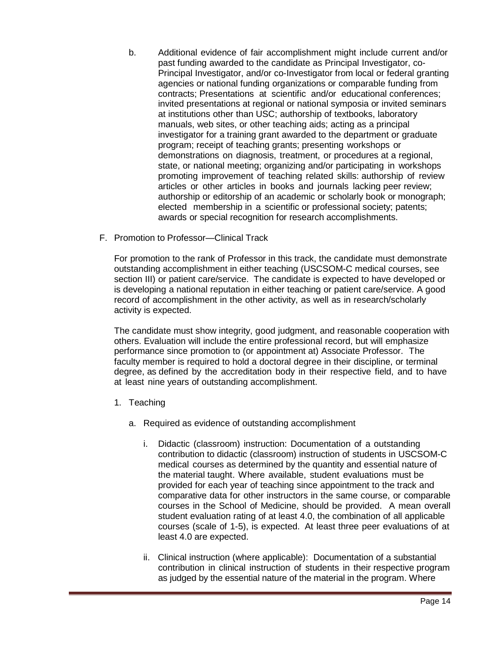- b. Additional evidence of fair accomplishment might include current and/or past funding awarded to the candidate as Principal Investigator, co-Principal Investigator, and/or co-Investigator from local or federal granting agencies or national funding organizations or comparable funding from contracts; Presentations at scientific and/or educational conferences; invited presentations at regional or national symposia or invited seminars at institutions other than USC; authorship of textbooks, laboratory manuals, web sites, or other teaching aids; acting as a principal investigator for a training grant awarded to the department or graduate program; receipt of teaching grants; presenting workshops or demonstrations on diagnosis, treatment, or procedures at a regional, state, or national meeting; organizing and/or participating in workshops promoting improvement of teaching related skills: authorship of review articles or other articles in books and journals lacking peer review; authorship or editorship of an academic or scholarly book or monograph; elected membership in a scientific or professional society; patents; awards or special recognition for research accomplishments.
- F. Promotion to Professor—Clinical Track

For promotion to the rank of Professor in this track, the candidate must demonstrate outstanding accomplishment in either teaching (USCSOM-C medical courses, see section III) or patient care/service. The candidate is expected to have developed or is developing a national reputation in either teaching or patient care/service. A good record of accomplishment in the other activity, as well as in research/scholarly activity is expected.

The candidate must show integrity, good judgment, and reasonable cooperation with others. Evaluation will include the entire professional record, but will emphasize performance since promotion to (or appointment at) Associate Professor. The faculty member is required to hold a doctoral degree in their discipline, or terminal degree, as defined by the accreditation body in their respective field, and to have at least nine years of outstanding accomplishment.

- 1. Teaching
	- a. Required as evidence of outstanding accomplishment
		- i. Didactic (classroom) instruction: Documentation of a outstanding contribution to didactic (classroom) instruction of students in USCSOM-C medical courses as determined by the quantity and essential nature of the material taught. Where available, student evaluations must be provided for each year of teaching since appointment to the track and comparative data for other instructors in the same course, or comparable courses in the School of Medicine, should be provided. A mean overall student evaluation rating of at least 4.0, the combination of all applicable courses (scale of 1-5), is expected. At least three peer evaluations of at least 4.0 are expected.
		- ii. Clinical instruction (where applicable): Documentation of a substantial contribution in clinical instruction of students in their respective program as judged by the essential nature of the material in the program. Where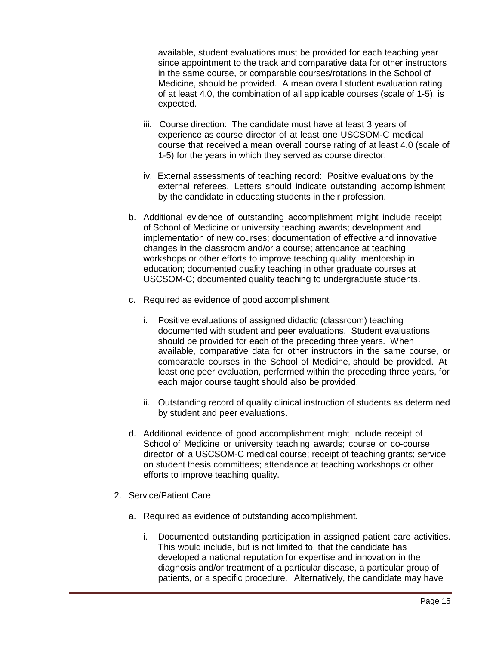available, student evaluations must be provided for each teaching year since appointment to the track and comparative data for other instructors in the same course, or comparable courses/rotations in the School of Medicine, should be provided. A mean overall student evaluation rating of at least 4.0, the combination of all applicable courses (scale of 1-5), is expected.

- iii. Course direction: The candidate must have at least 3 years of experience as course director of at least one USCSOM-C medical course that received a mean overall course rating of at least 4.0 (scale of 1-5) for the years in which they served as course director.
- iv. External assessments of teaching record: Positive evaluations by the external referees. Letters should indicate outstanding accomplishment by the candidate in educating students in their profession.
- b. Additional evidence of outstanding accomplishment might include receipt of School of Medicine or university teaching awards; development and implementation of new courses; documentation of effective and innovative changes in the classroom and/or a course; attendance at teaching workshops or other efforts to improve teaching quality; mentorship in education; documented quality teaching in other graduate courses at USCSOM-C; documented quality teaching to undergraduate students.
- c. Required as evidence of good accomplishment
	- i. Positive evaluations of assigned didactic (classroom) teaching documented with student and peer evaluations. Student evaluations should be provided for each of the preceding three years. When available, comparative data for other instructors in the same course, or comparable courses in the School of Medicine, should be provided. At least one peer evaluation, performed within the preceding three years, for each major course taught should also be provided.
	- ii. Outstanding record of quality clinical instruction of students as determined by student and peer evaluations.
- d. Additional evidence of good accomplishment might include receipt of School of Medicine or university teaching awards; course or co-course director of a USCSOM-C medical course; receipt of teaching grants; service on student thesis committees; attendance at teaching workshops or other efforts to improve teaching quality.
- 2. Service/Patient Care
	- a. Required as evidence of outstanding accomplishment.
		- i. Documented outstanding participation in assigned patient care activities. This would include, but is not limited to, that the candidate has developed a national reputation for expertise and innovation in the diagnosis and/or treatment of a particular disease, a particular group of patients, or a specific procedure. Alternatively, the candidate may have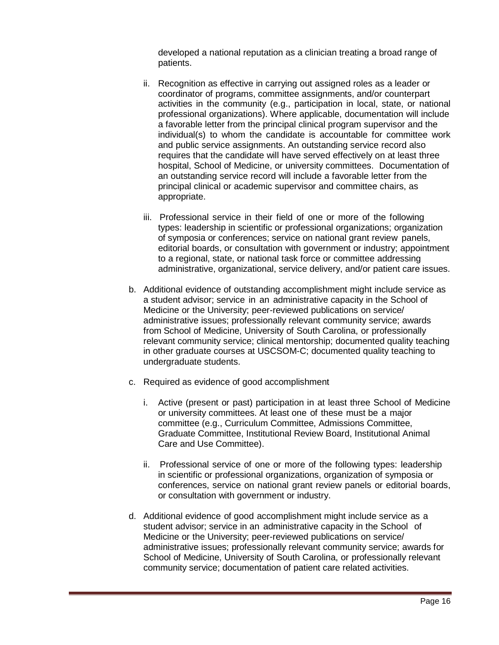developed a national reputation as a clinician treating a broad range of patients.

- ii. Recognition as effective in carrying out assigned roles as a leader or coordinator of programs, committee assignments, and/or counterpart activities in the community (e.g., participation in local, state, or national professional organizations). Where applicable, documentation will include a favorable letter from the principal clinical program supervisor and the individual(s) to whom the candidate is accountable for committee work and public service assignments. An outstanding service record also requires that the candidate will have served effectively on at least three hospital, School of Medicine, or university committees. Documentation of an outstanding service record will include a favorable letter from the principal clinical or academic supervisor and committee chairs, as appropriate.
- iii. Professional service in their field of one or more of the following types: leadership in scientific or professional organizations; organization of symposia or conferences; service on national grant review panels, editorial boards, or consultation with government or industry; appointment to a regional, state, or national task force or committee addressing administrative, organizational, service delivery, and/or patient care issues.
- b. Additional evidence of outstanding accomplishment might include service as a student advisor; service in an administrative capacity in the School of Medicine or the University; peer-reviewed publications on service/ administrative issues; professionally relevant community service; awards from School of Medicine, University of South Carolina, or professionally relevant community service; clinical mentorship; documented quality teaching in other graduate courses at USCSOM-C; documented quality teaching to undergraduate students.
- c. Required as evidence of good accomplishment
	- i. Active (present or past) participation in at least three School of Medicine or university committees. At least one of these must be a major committee (e.g., Curriculum Committee, Admissions Committee, Graduate Committee, Institutional Review Board, Institutional Animal Care and Use Committee).
	- ii. Professional service of one or more of the following types: leadership in scientific or professional organizations, organization of symposia or conferences, service on national grant review panels or editorial boards, or consultation with government or industry.
- d. Additional evidence of good accomplishment might include service as a student advisor; service in an administrative capacity in the School of Medicine or the University; peer-reviewed publications on service/ administrative issues; professionally relevant community service; awards for School of Medicine, University of South Carolina, or professionally relevant community service; documentation of patient care related activities.